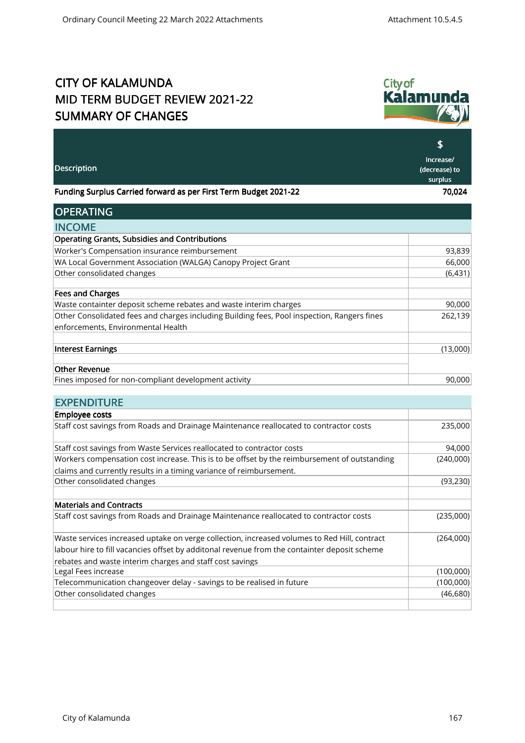## CITY OF KALAMUNDA MID TERM BUDGET REVIEW 2021-22 SUMMARY OF CHANGES



|                                                                                              | \$                                    |
|----------------------------------------------------------------------------------------------|---------------------------------------|
| Description                                                                                  | Increase/<br>(decrease) to<br>surplus |
| Funding Surplus Carried forward as per First Term Budget 2021-22                             | 70,024                                |
| <b>OPERATING</b>                                                                             |                                       |
| <b>INCOME</b>                                                                                |                                       |
| <b>Operating Grants, Subsidies and Contributions</b>                                         |                                       |
| Worker's Compensation insurance reimbursement                                                | 93,839                                |
| WA Local Government Association (WALGA) Canopy Project Grant                                 | 66,000                                |
| Other consolidated changes                                                                   | (6,431)                               |
| <b>Fees and Charges</b>                                                                      |                                       |
| Waste containter deposit scheme rebates and waste interim charges                            | 90,000                                |
| Other Consolidated fees and charges including Building fees, Pool inspection, Rangers fines  | 262,139                               |
| enforcements, Environmental Health                                                           |                                       |
| <b>Interest Earnings</b>                                                                     | (13,000)                              |
| <b>Other Revenue</b>                                                                         |                                       |
| Fines imposed for non-compliant development activity                                         | 90,000                                |
| <b>EXPENDITURE</b>                                                                           |                                       |
| <b>Employee costs</b>                                                                        |                                       |
| Staff cost savings from Roads and Drainage Maintenance reallocated to contractor costs       | 235,000                               |
| Staff cost savings from Waste Services reallocated to contractor costs                       | 94,000                                |
| Workers compensation cost increase. This is to be offset by the reimbursement of outstanding | (240,000)                             |
| claims and currently results in a timing variance of reimbursement.                          |                                       |

| Other consolidated changes                                                                   | (93, 230) |
|----------------------------------------------------------------------------------------------|-----------|
|                                                                                              |           |
| <b>Materials and Contracts</b>                                                               |           |
| Staff cost savings from Roads and Drainage Maintenance reallocated to contractor costs       | (235,000) |
|                                                                                              |           |
| Waste services increased uptake on verge collection, increased volumes to Red Hill, contract | (264,000) |
| abour hire to fill vacancies offset by additonal revenue from the containter deposit scheme  |           |
| rebates and waste interim charges and staff cost savings                                     |           |
| Legal Fees increase                                                                          | (100,000) |
| Telecommunication changeover delay - savings to be realised in future                        | (100,000) |
| Other consolidated changes                                                                   | (46,680)  |
|                                                                                              |           |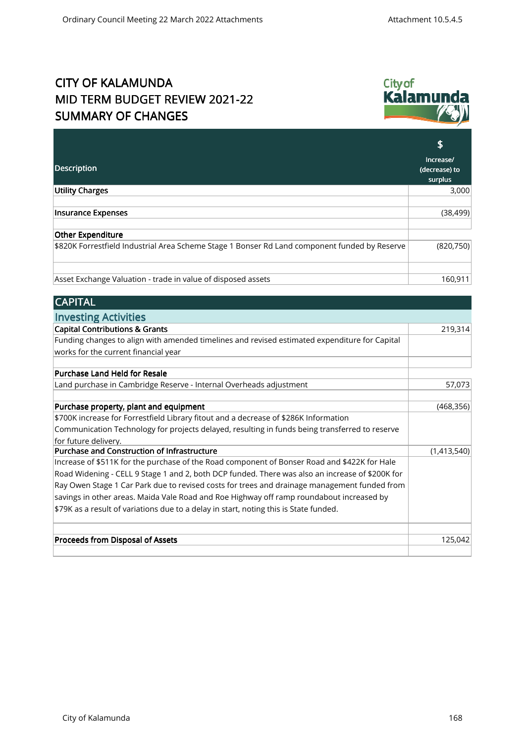## CITY OF KALAMUNDA MID TERM BUDGET REVIEW 2021-22 SUMMARY OF CHANGES



| <b>Description</b>                                                                            | Increase/<br>(decrease) to |
|-----------------------------------------------------------------------------------------------|----------------------------|
|                                                                                               | surplus                    |
| <b>Utility Charges</b>                                                                        | 3,000                      |
|                                                                                               |                            |
| Insurance Expenses                                                                            | (38, 499)                  |
|                                                                                               |                            |
| Other Expenditure                                                                             |                            |
| \$820K Forrestfield Industrial Area Scheme Stage 1 Bonser Rd Land component funded by Reserve | (820, 750)                 |
|                                                                                               |                            |
|                                                                                               |                            |
| Asset Exchange Valuation - trade in value of disposed assets                                  | 160,911                    |

| <b>CAPITAL</b> |  |
|----------------|--|
|                |  |

| <b>Investing Activities</b>                                                                     |             |
|-------------------------------------------------------------------------------------------------|-------------|
| <b>Capital Contributions &amp; Grants</b>                                                       | 219,314     |
| Funding changes to align with amended timelines and revised estimated expenditure for Capital   |             |
| works for the current financial year                                                            |             |
|                                                                                                 |             |
| <b>Purchase Land Held for Resale</b>                                                            |             |
| Land purchase in Cambridge Reserve - Internal Overheads adjustment                              | 57,073      |
| Purchase property, plant and equipment                                                          | (468, 356)  |
| \$700K increase for Forrestfield Library fitout and a decrease of \$286K Information            |             |
| Communication Technology for projects delayed, resulting in funds being transferred to reserve  |             |
| for future delivery.                                                                            |             |
| Purchase and Construction of Infrastructure                                                     | (1,413,540) |
| Increase of \$511K for the purchase of the Road component of Bonser Road and \$422K for Hale    |             |
| Road Widening - CELL 9 Stage 1 and 2, both DCP funded. There was also an increase of \$200K for |             |
| Ray Owen Stage 1 Car Park due to revised costs for trees and drainage management funded from    |             |
| savings in other areas. Maida Vale Road and Roe Highway off ramp roundabout increased by        |             |
| \$79K as a result of variations due to a delay in start, noting this is State funded.           |             |
|                                                                                                 |             |
| Proceeds from Disposal of Assets                                                                | 125,042     |